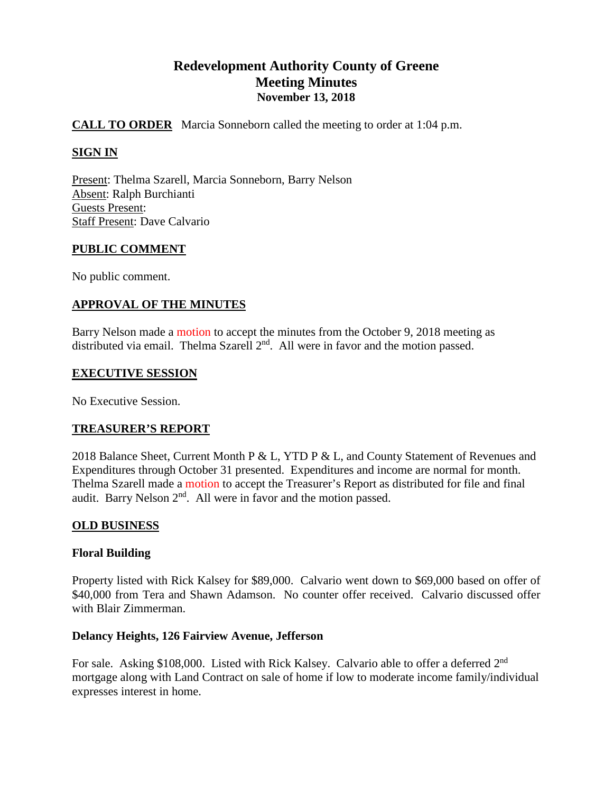# **Redevelopment Authority County of Greene Meeting Minutes November 13, 2018**

# **CALL TO ORDER** Marcia Sonneborn called the meeting to order at 1:04 p.m.

# **SIGN IN**

Present: Thelma Szarell, Marcia Sonneborn, Barry Nelson Absent: Ralph Burchianti Guests Present: Staff Present: Dave Calvario

# **PUBLIC COMMENT**

No public comment.

# **APPROVAL OF THE MINUTES**

Barry Nelson made a motion to accept the minutes from the October 9, 2018 meeting as distributed via email. Thelma Szarell  $2<sup>nd</sup>$ . All were in favor and the motion passed.

### **EXECUTIVE SESSION**

No Executive Session.

# **TREASURER'S REPORT**

2018 Balance Sheet, Current Month P & L, YTD P & L, and County Statement of Revenues and Expenditures through October 31 presented. Expenditures and income are normal for month. Thelma Szarell made a motion to accept the Treasurer's Report as distributed for file and final audit. Barry Nelson  $2<sup>nd</sup>$ . All were in favor and the motion passed.

# **OLD BUSINESS**

# **Floral Building**

Property listed with Rick Kalsey for \$89,000. Calvario went down to \$69,000 based on offer of \$40,000 from Tera and Shawn Adamson. No counter offer received. Calvario discussed offer with Blair Zimmerman.

# **Delancy Heights, 126 Fairview Avenue, Jefferson**

For sale. Asking \$108,000. Listed with Rick Kalsey. Calvario able to offer a deferred 2<sup>nd</sup> mortgage along with Land Contract on sale of home if low to moderate income family/individual expresses interest in home.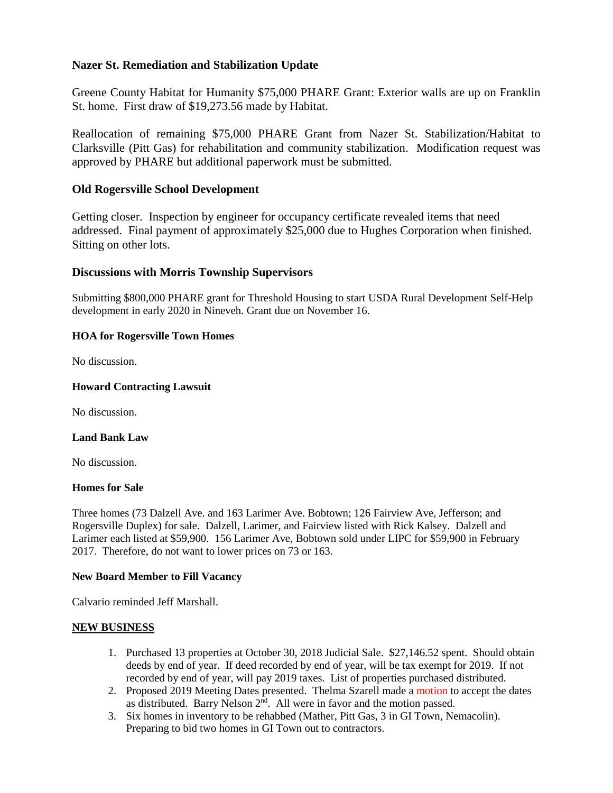# **Nazer St. Remediation and Stabilization Update**

Greene County Habitat for Humanity \$75,000 PHARE Grant: Exterior walls are up on Franklin St. home. First draw of \$19,273.56 made by Habitat.

Reallocation of remaining \$75,000 PHARE Grant from Nazer St. Stabilization/Habitat to Clarksville (Pitt Gas) for rehabilitation and community stabilization. Modification request was approved by PHARE but additional paperwork must be submitted.

# **Old Rogersville School Development**

Getting closer. Inspection by engineer for occupancy certificate revealed items that need addressed. Final payment of approximately \$25,000 due to Hughes Corporation when finished. Sitting on other lots.

# **Discussions with Morris Township Supervisors**

Submitting \$800,000 PHARE grant for Threshold Housing to start USDA Rural Development Self-Help development in early 2020 in Nineveh. Grant due on November 16.

# **HOA for Rogersville Town Homes**

No discussion.

### **Howard Contracting Lawsuit**

No discussion.

### **Land Bank Law**

No discussion.

### **Homes for Sale**

Three homes (73 Dalzell Ave. and 163 Larimer Ave. Bobtown; 126 Fairview Ave, Jefferson; and Rogersville Duplex) for sale. Dalzell, Larimer, and Fairview listed with Rick Kalsey. Dalzell and Larimer each listed at \$59,900. 156 Larimer Ave, Bobtown sold under LIPC for \$59,900 in February 2017. Therefore, do not want to lower prices on 73 or 163.

### **New Board Member to Fill Vacancy**

Calvario reminded Jeff Marshall.

### **NEW BUSINESS**

- 1. Purchased 13 properties at October 30, 2018 Judicial Sale. \$27,146.52 spent. Should obtain deeds by end of year. If deed recorded by end of year, will be tax exempt for 2019. If not recorded by end of year, will pay 2019 taxes. List of properties purchased distributed.
- 2. Proposed 2019 Meeting Dates presented. Thelma Szarell made a motion to accept the dates as distributed. Barry Nelson 2<sup>nd</sup>. All were in favor and the motion passed.
- 3. Six homes in inventory to be rehabbed (Mather, Pitt Gas, 3 in GI Town, Nemacolin). Preparing to bid two homes in GI Town out to contractors.